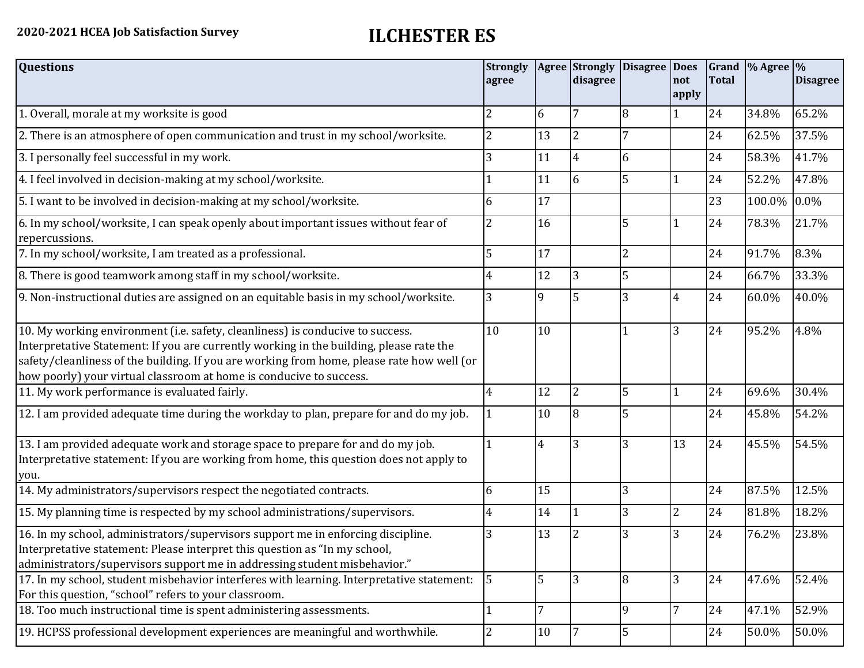| <b>Questions</b>                                                                                                                                                                                                                                                                                                                               | <b>Strongly</b><br>agree |    | <b>Agree Strongly</b><br>disagree | Disagree   Does | not<br>apply   | <b>Total</b> | Grand % Agree % | <b>Disagree</b> |
|------------------------------------------------------------------------------------------------------------------------------------------------------------------------------------------------------------------------------------------------------------------------------------------------------------------------------------------------|--------------------------|----|-----------------------------------|-----------------|----------------|--------------|-----------------|-----------------|
| 1. Overall, morale at my worksite is good                                                                                                                                                                                                                                                                                                      | 2                        | 6  | 7                                 | 8               |                | 24           | 34.8%           | 65.2%           |
| 2. There is an atmosphere of open communication and trust in my school/worksite.                                                                                                                                                                                                                                                               | $\overline{2}$           | 13 | $\overline{2}$                    |                 |                | 24           | 62.5%           | 37.5%           |
| 3. I personally feel successful in my work.                                                                                                                                                                                                                                                                                                    | 3                        | 11 | 4                                 | 6               |                | 24           | 58.3%           | 41.7%           |
| 4. I feel involved in decision-making at my school/worksite.                                                                                                                                                                                                                                                                                   |                          | 11 | 6                                 | 5               |                | 24           | 52.2%           | 47.8%           |
| 5. I want to be involved in decision-making at my school/worksite.                                                                                                                                                                                                                                                                             | 6                        | 17 |                                   |                 |                | 23           | 100.0%          | $0.0\%$         |
| 6. In my school/worksite, I can speak openly about important issues without fear of<br>repercussions.                                                                                                                                                                                                                                          |                          | 16 |                                   | 5               |                | 24           | 78.3%           | 21.7%           |
| 7. In my school/worksite, I am treated as a professional.                                                                                                                                                                                                                                                                                      | 5                        | 17 |                                   | $\overline{2}$  |                | 24           | 91.7%           | 8.3%            |
| 8. There is good teamwork among staff in my school/worksite.                                                                                                                                                                                                                                                                                   |                          | 12 | 3                                 | 5               |                | 24           | 66.7%           | 33.3%           |
| 9. Non-instructional duties are assigned on an equitable basis in my school/worksite.                                                                                                                                                                                                                                                          | 3                        | 9  | 5                                 | 3               | $\overline{4}$ | 24           | 60.0%           | 40.0%           |
| 10. My working environment (i.e. safety, cleanliness) is conducive to success.<br>Interpretative Statement: If you are currently working in the building, please rate the<br>safety/cleanliness of the building. If you are working from home, please rate how well (or<br>how poorly) your virtual classroom at home is conducive to success. | 10                       | 10 |                                   |                 | 3              | 24           | 95.2%           | 4.8%            |
| 11. My work performance is evaluated fairly.                                                                                                                                                                                                                                                                                                   | 4                        | 12 | $\overline{2}$                    | 5               |                | 24           | 69.6%           | 30.4%           |
| 12. I am provided adequate time during the workday to plan, prepare for and do my job.                                                                                                                                                                                                                                                         |                          | 10 | 8                                 | 5               |                | 24           | 45.8%           | 54.2%           |
| 13. I am provided adequate work and storage space to prepare for and do my job.<br>Interpretative statement: If you are working from home, this question does not apply to<br>you.                                                                                                                                                             |                          | 4  | 3                                 | 3               | 13             | 24           | 45.5%           | 54.5%           |
| 14. My administrators/supervisors respect the negotiated contracts.                                                                                                                                                                                                                                                                            | 6                        | 15 |                                   | 3               |                | 24           | 87.5%           | 12.5%           |
| 15. My planning time is respected by my school administrations/supervisors.                                                                                                                                                                                                                                                                    | 4                        | 14 |                                   | 3               | $\overline{2}$ | 24           | 81.8%           | 18.2%           |
| 16. In my school, administrators/supervisors support me in enforcing discipline.<br>Interpretative statement: Please interpret this question as "In my school,<br>administrators/supervisors support me in addressing student misbehavior."                                                                                                    | 3                        | 13 |                                   | 3               | 3              | 24           | 76.2%           | 23.8%           |
| 17. In my school, student misbehavior interferes with learning. Interpretative statement:<br>For this question, "school" refers to your classroom.                                                                                                                                                                                             | $\overline{5}$           | 5  | 3                                 | 8               | 3              | 24           | 47.6%           | 52.4%           |
| 18. Too much instructional time is spent administering assessments.                                                                                                                                                                                                                                                                            | 1                        | 7  |                                   | 9               | 7              | 24           | 47.1%           | 52.9%           |
| 19. HCPSS professional development experiences are meaningful and worthwhile.                                                                                                                                                                                                                                                                  | $\overline{2}$           | 10 |                                   | 5               |                | 24           | 50.0%           | 50.0%           |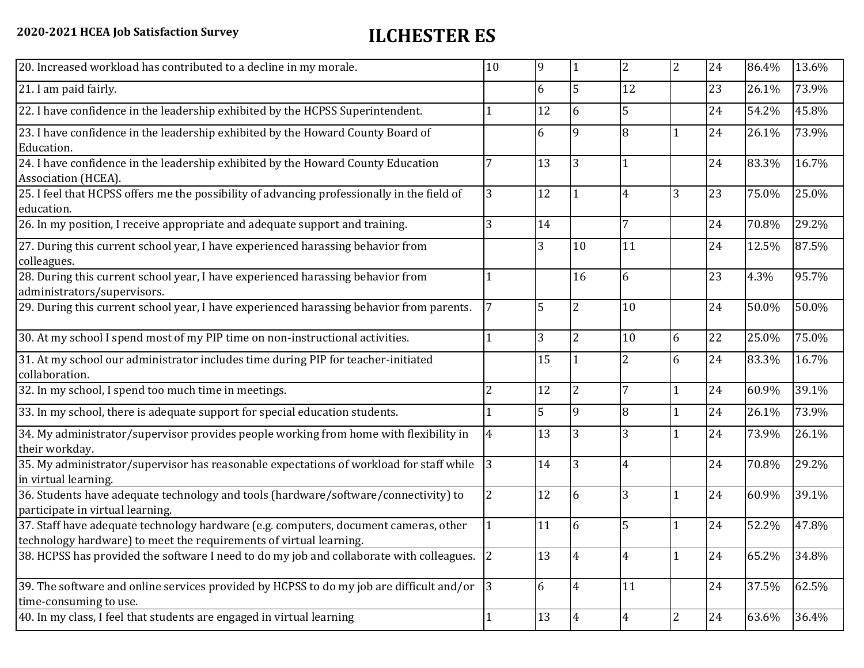| 20. Increased workload has contributed to a decline in my morale.                                                                                          | 10             | 9              |                | $\overline{2}$ | $\overline{2}$ | 24 | 86.4% | 13.6% |
|------------------------------------------------------------------------------------------------------------------------------------------------------------|----------------|----------------|----------------|----------------|----------------|----|-------|-------|
| 21. I am paid fairly.                                                                                                                                      |                | 6              | 5              | 12             |                | 23 | 26.1% | 73.9% |
| 22. I have confidence in the leadership exhibited by the HCPSS Superintendent.                                                                             |                | 12             | 6              | 5              |                | 24 | 54.2% | 45.8% |
| 23. I have confidence in the leadership exhibited by the Howard County Board of<br>Education.                                                              |                | 6              | 9              | 8              |                | 24 | 26.1% | 73.9% |
| 24. I have confidence in the leadership exhibited by the Howard County Education<br>Association (HCEA).                                                    |                | 13             | 3              |                |                | 24 | 83.3% | 16.7% |
| 25. I feel that HCPSS offers me the possibility of advancing professionally in the field of<br>education.                                                  | 3              | 12             |                | 4              | 3              | 23 | 75.0% | 25.0% |
| 26. In my position, I receive appropriate and adequate support and training.                                                                               | 3              | 14             |                | 7              |                | 24 | 70.8% | 29.2% |
| 27. During this current school year, I have experienced harassing behavior from<br>colleagues.                                                             |                | 3              | 10             | 11             |                | 24 | 12.5% | 87.5% |
| 28. During this current school year, I have experienced harassing behavior from<br>administrators/supervisors.                                             |                |                | 16             | 6              |                | 23 | 4.3%  | 95.7% |
| 29. During this current school year, I have experienced harassing behavior from parents.                                                                   | $\overline{7}$ | 5              | $\overline{2}$ | 10             |                | 24 | 50.0% | 50.0% |
| 30. At my school I spend most of my PIP time on non-instructional activities.                                                                              |                | $\overline{3}$ | $\overline{2}$ | 10             | 6              | 22 | 25.0% | 75.0% |
| 31. At my school our administrator includes time during PIP for teacher-initiated<br>collaboration.                                                        |                | 15             |                | $\overline{2}$ | 6              | 24 | 83.3% | 16.7% |
| 32. In my school, I spend too much time in meetings.                                                                                                       | 2              | 12             | $\overline{2}$ | $\overline{7}$ | $\mathbf{1}$   | 24 | 60.9% | 39.1% |
| 33. In my school, there is adequate support for special education students.                                                                                |                | 5              | 9              | $\overline{8}$ | $\mathbf{1}$   | 24 | 26.1% | 73.9% |
| 34. My administrator/supervisor provides people working from home with flexibility in<br>their workday.                                                    | $\overline{4}$ | 13             | 3              |                | 1              | 24 | 73.9% | 26.1% |
| 35. My administrator/supervisor has reasonable expectations of workload for staff while<br>in virtual learning.                                            | 3              | 14             | 3              | 4              |                | 24 | 70.8% | 29.2% |
| 36. Students have adequate technology and tools (hardware/software/connectivity) to<br>participate in virtual learning.                                    | 2              | 12             | 6              | 3              | $\mathbf{1}$   | 24 | 60.9% | 39.1% |
| 37. Staff have adequate technology hardware (e.g. computers, document cameras, other<br>technology hardware) to meet the requirements of virtual learning. |                | 11             | 6              | 5              |                | 24 | 52.2% | 47.8% |
| 38. HCPSS has provided the software I need to do my job and collaborate with colleagues. $ 2 $                                                             |                | 13             |                | 4              | $\overline{1}$ | 24 | 65.2% | 34.8% |
| 39. The software and online services provided by HCPSS to do my job are difficult and/or<br>time-consuming to use.                                         | 3              | 6              | $\overline{4}$ | 11             |                | 24 | 37.5% | 62.5% |
| 40. In my class, I feel that students are engaged in virtual learning                                                                                      |                | 13             | 4              | $\overline{4}$ | 2              | 24 | 63.6% | 36.4% |